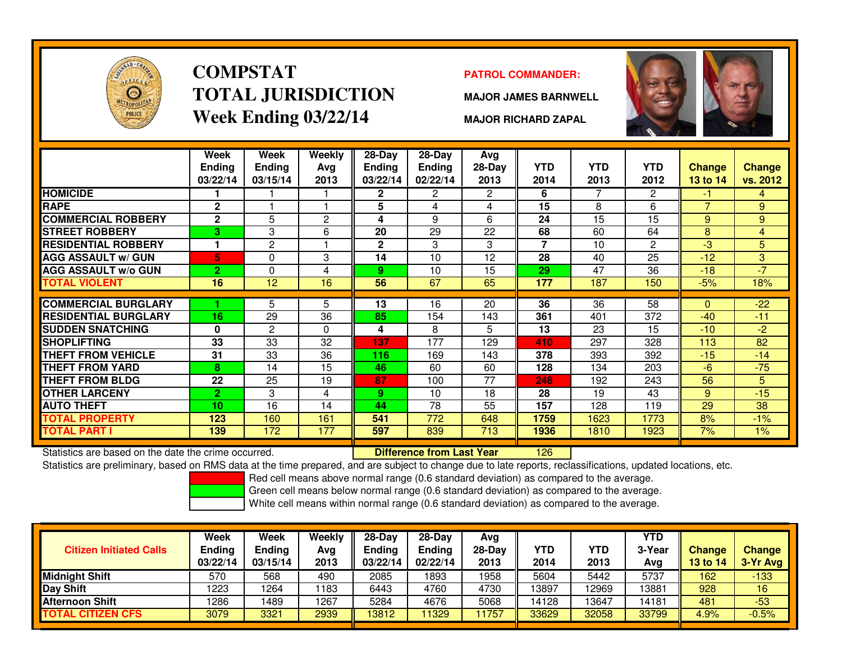

# **COMPSTATTOTAL JURISDICTIONWeek Ending 03/22/14**

### **PATROL COMMANDER:**

**MAJOR JAMES BARNWELL**



**MAJOR RICHARD ZAPAL**

|                             | Week<br><b>Ending</b><br>03/22/14 | Week<br><b>Ending</b><br>03/15/14 | <b>Weekly</b><br>Avg<br>2013 | $28-Day$<br>Ending<br>03/22/14 | $28-Day$<br><b>Ending</b><br>02/22/14 | Avg<br>28-Day<br>2013 | <b>YTD</b><br>2014       | <b>YTD</b><br>2013 | <b>YTD</b><br>2012 | <b>Change</b><br>13 to 14 | <b>Change</b><br>vs. 2012 |
|-----------------------------|-----------------------------------|-----------------------------------|------------------------------|--------------------------------|---------------------------------------|-----------------------|--------------------------|--------------------|--------------------|---------------------------|---------------------------|
| <b>HOMICIDE</b>             |                                   |                                   |                              | $\mathbf{2}$                   | 2                                     | $\mathbf{2}^{\circ}$  | 6                        | 7                  | 2                  | -1                        | 4                         |
| <b>RAPE</b>                 | $\mathbf{2}$                      |                                   |                              | 5                              | 4                                     | 4                     | 15                       | 8                  | 6                  | $\overline{7}$            | 9                         |
| <b>COMMERCIAL ROBBERY</b>   | $\mathbf{2}$                      | 5                                 | $\overline{2}$               | 4                              | 9                                     | 6                     | 24                       | 15                 | 15                 | 9                         | 9                         |
| <b>STREET ROBBERY</b>       | 3                                 | 3                                 | 6                            | 20                             | 29                                    | 22                    | 68                       | 60                 | 64                 | 8                         | $\overline{4}$            |
| <b>RESIDENTIAL ROBBERY</b>  |                                   | 2                                 |                              | $\mathbf{2}$                   | 3                                     | 3                     | $\overline{\phantom{a}}$ | 10                 | 2                  | -3                        | 5                         |
| <b>AGG ASSAULT w/ GUN</b>   | 5                                 | 0                                 | 3                            | 14                             | 10                                    | 12                    | 28                       | 40                 | 25                 | $-12$                     | 3                         |
| <b>AGG ASSAULT w/o GUN</b>  | $\overline{2}$                    | 0                                 | 4                            | 9                              | 10                                    | 15                    | 29                       | 47                 | 36                 | $-18$                     | $-7$                      |
| <b>TOTAL VIOLENT</b>        | 16                                | 12                                | 16                           | 56                             | 67                                    | 65                    | 177                      | 187                | 150                | $-5%$                     | 18%                       |
|                             |                                   |                                   |                              |                                |                                       |                       |                          |                    |                    |                           |                           |
| <b>COMMERCIAL BURGLARY</b>  |                                   | 5                                 | 5                            | 13                             | 16                                    | 20                    | 36                       | 36                 | 58                 | $\Omega$                  | $-22$                     |
| <b>RESIDENTIAL BURGLARY</b> | 16                                | 29                                | 36                           | 85                             | 154                                   | 143                   | 361                      | 401                | 372                | $-40$                     | $-11$                     |
| <b>SUDDEN SNATCHING</b>     | $\bf{0}$                          | $\overline{2}$                    | $\Omega$                     | 4                              | 8                                     | 5                     | 13                       | 23                 | 15                 | $-10$                     | $-2$                      |
| <b>SHOPLIFTING</b>          | 33                                | 33                                | 32                           | 137                            | 177                                   | 129                   | 410                      | 297                | 328                | 113                       | 82                        |
| <b>THEFT FROM VEHICLE</b>   | 31                                | 33                                | 36                           | 116                            | 169                                   | 143                   | 378                      | 393                | 392                | $-15$                     | $-14$                     |
| <b>THEFT FROM YARD</b>      | 8                                 | 14                                | 15                           | 46                             | 60                                    | 60                    | 128                      | 134                | 203                | -6                        | $-75$                     |
| THEFT FROM BLDG             | 22                                | 25                                | 19                           | 87                             | 100                                   | 77                    | 248                      | 192                | 243                | 56                        | 5                         |
| <b>OTHER LARCENY</b>        | $\overline{2}$                    | 3                                 | 4                            | 9.                             | 10                                    | 18                    | 28                       | 19                 | 43                 | 9                         | $-15$                     |
| <b>AUTO THEFT</b>           | 10                                | 16                                | 14                           | 44                             | 78                                    | 55                    | 157                      | 128                | 119                | 29                        | 38                        |
| TOTAL PROPERTY              | 123                               | 160                               | 161                          | 541                            | 772                                   | 648                   | 1759                     | 1623               | 1773               | 8%                        | $-1%$                     |
| TOTAL PART I                | 139                               | 172                               | 177                          | 597                            | 839                                   | 713                   | 1936                     | 1810               | 1923               | 7%                        | $1\%$                     |

Statistics are based on the date the crime occurred. **Difference from Last Year** 

Statistics are based on the date the crime occurred. **[126] Letter Last Year 126 and Arch** Statistics are based on the date trime occurred.<br>Statistics are preliminary, based on RMS data at the time prepared, and are subjec

Red cell means above normal range (0.6 standard deviation) as compared to the average.

Green cell means below normal range (0.6 standard deviation) as compared to the average.

| <b>Citizen Initiated Calls</b> | Week<br><b>Ending</b><br>03/22/14 | Week<br><b>Ending</b><br>03/15/14 | Weekly<br>Avg<br>2013 | $28-Dav$<br><b>Endina</b><br>03/22/14 | $28-Dav$<br>Ending<br>02/22/14 | Avg<br>$28-Dav$<br>2013 | <b>YTD</b><br>2014 | <b>YTD</b><br>2013 | <b>YTD</b><br>3-Year<br>Avg | <b>Change</b><br><b>13 to 14</b> | <b>Change</b><br>3-Yr Avg |
|--------------------------------|-----------------------------------|-----------------------------------|-----------------------|---------------------------------------|--------------------------------|-------------------------|--------------------|--------------------|-----------------------------|----------------------------------|---------------------------|
| <b>Midnight Shift</b>          | 570                               | 568                               | 490                   | 2085                                  | 1893                           | 1958                    | 5604               | 5442               | 5737                        | 162                              | $-133$                    |
| Day Shift                      | 1223                              | 1264                              | 1183                  | 6443                                  | 4760                           | 4730                    | 13897              | 12969              | 13881                       | 928                              | 16                        |
| <b>Afternoon Shift</b>         | 1286                              | 1489                              | 1267                  | 5284                                  | 4676                           | 5068                    | 14128              | 13647              | 14181                       | 481                              | $-53$                     |
| <b>TOTAL CITIZEN CFS</b>       | 3079                              | 3321                              | 2939                  | 13812                                 | 1329                           | 1757                    | 33629              | 32058              | 33799                       | 4.9%                             | $-0.5%$                   |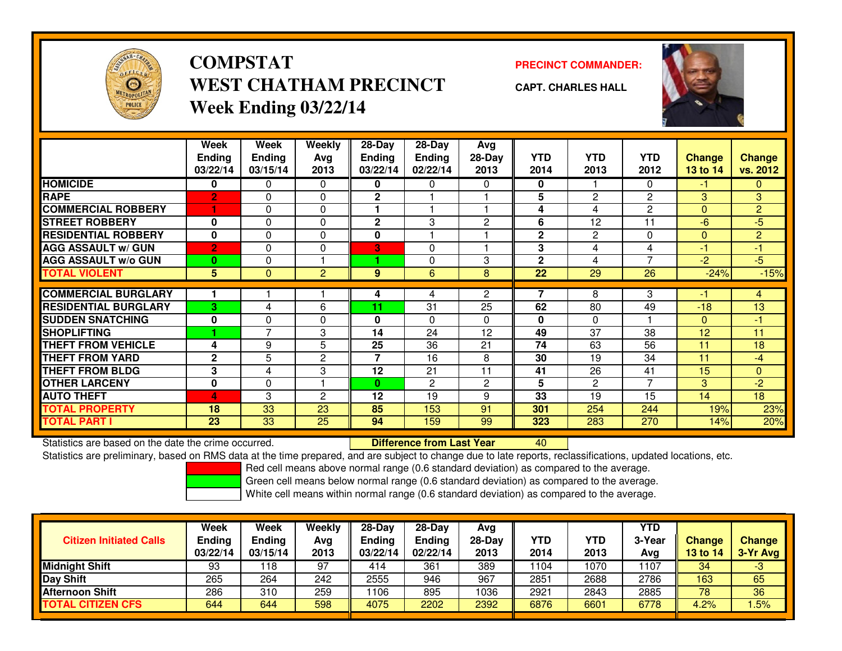

## **COMPSTATPRECINCT COMMANDER:**<br>
PRECINCT COMMANDER: **WEST CHATHAM PRECINCTWeek Ending 03/22/14**



**CAPT. CHARLES HALL**



|                             | Week            | Week                     | Weekly         | $28-Day$                | $28-Day$       | Avg            |              |                |                |               |                |
|-----------------------------|-----------------|--------------------------|----------------|-------------------------|----------------|----------------|--------------|----------------|----------------|---------------|----------------|
|                             | <b>Ending</b>   | Ending                   | Avg            | <b>Ending</b>           | <b>Endina</b>  | $28-Day$       | <b>YTD</b>   | <b>YTD</b>     | <b>YTD</b>     | <b>Change</b> | Change         |
|                             | 03/22/14        | 03/15/14                 | 2013           | 03/22/14                | 02/22/14       | 2013           | 2014         | 2013           | 2012           | 13 to 14      | vs. 2012       |
| <b>HOMICIDE</b>             | 0               | 0                        | 0              | n.                      | 0              | 0              | $\bf{0}$     |                | 0              | $-1$          | 0              |
| <b>RAPE</b>                 | $\overline{2}$  | $\Omega$                 | 0              | $\mathbf{2}$            |                |                | 5            | $\mathbf{2}$   | $\overline{c}$ | 3             | 3              |
| <b>COMMERCIAL ROBBERY</b>   |                 | $\Omega$                 | 0              |                         |                |                | 4            | 4              | $\overline{2}$ | $\Omega$      | $\overline{2}$ |
| <b>STREET ROBBERY</b>       | 0               | $\Omega$                 | 0              | $\mathbf{2}$            | 3              | $\overline{c}$ | 6            | 12             | 11             | $-6$          | $-5$           |
| <b>RESIDENTIAL ROBBERY</b>  | $\mathbf{0}$    | $\Omega$                 | $\mathbf 0$    | $\mathbf{0}$            |                |                | $\mathbf{2}$ | $\overline{2}$ | $\Omega$       | $\mathbf{0}$  | $\overline{2}$ |
| <b>AGG ASSAULT w/ GUN</b>   | $\overline{2}$  | 0                        | 0              | $\overline{\mathbf{3}}$ | 0              |                | 3            | 4              | 4              | -1            | $-1$           |
| <b>AGG ASSAULT w/o GUN</b>  | $\bf{0}$        | $\Omega$                 |                |                         | 0              | 3              | $\mathbf{2}$ | 4              | $\overline{7}$ | $-2$          | $-5$           |
| <b>TOTAL VIOLENT</b>        | $5\phantom{.0}$ | $\Omega$                 | $\overline{2}$ | 9                       | 6              | 8              | 22           | 29             | 26             | $-24%$        | $-15%$         |
|                             |                 |                          |                |                         |                |                |              |                |                |               |                |
| <b>COMMERCIAL BURGLARY</b>  |                 |                          |                | 4                       | 4              | $\overline{2}$ |              | 8              | 3              | -1            | $\overline{4}$ |
| <b>RESIDENTIAL BURGLARY</b> | 3               | 4                        | 6              | 11                      | 31             | 25             | 62           | 80             | 49             | $-18$         | 13             |
| <b>SUDDEN SNATCHING</b>     | $\mathbf{0}$    | $\Omega$                 | 0              | $\bf{0}$                | 0              | 0              | $\mathbf{0}$ | $\Omega$       |                | $\mathbf{0}$  | $-1$           |
| <b>SHOPLIFTING</b>          |                 | $\overline{\phantom{a}}$ | 3              | 14                      | 24             | 12             | 49           | 37             | 38             | 12            | 11             |
| <b>THEFT FROM VEHICLE</b>   | 4               | 9                        | 5              | 25                      | 36             | 21             | 74           | 63             | 56             | 11            | 18             |
| <b>THEFT FROM YARD</b>      | $\mathbf{2}$    | 5                        | $\overline{c}$ | 7                       | 16             | 8              | 30           | 19             | 34             | 11            | $-4$           |
| <b>THEFT FROM BLDG</b>      | 3               | 4                        | 3              | 12                      | 21             | 11             | 41           | 26             | 41             | 15            | $\overline{0}$ |
| <b>OTHER LARCENY</b>        | $\mathbf 0$     | $\Omega$                 |                | $\bf{0}$                | $\overline{2}$ | $\mathbf{2}$   | 5            | $\overline{2}$ | $\overline{7}$ | 3             | $-2$           |
| <b>AUTO THEFT</b>           | 4               | 3                        | $\overline{2}$ | 12                      | 19             | 9              | 33           | 19             | 15             | 14            | 18             |
| <b>TOTAL PROPERTY</b>       | 18              | 33                       | 23             | 85                      | 153            | 91             | 301          | 254            | 244            | 19%           | 23%            |
| <b>TOTAL PART I</b>         | 23              | 33                       | 25             | 94                      | 159            | 99             | 323          | 283            | 270            | 14%           | 20%            |

Statistics are based on the date the crime occurred. **Difference from Last Year** 

<sup>40</sup>

Statistics are preliminary, based on RMS data at the time prepared, and are subject to change due to late reports, reclassifications, updated locations, etc.

Red cell means above normal range (0.6 standard deviation) as compared to the average.

Green cell means below normal range (0.6 standard deviation) as compared to the average.

| <b>Citizen Initiated Calls</b> | Week<br><b>Ending</b><br>03/22/14 | Week<br>Ending<br>03/15/14 | Weekly<br>Avg<br>2013 | $28-Day$<br><b>Ending</b><br>03/22/14 | $28-Dav$<br><b>Ending</b><br>02/22/14 | Avg<br>28-Day<br>2013 | <b>YTD</b><br>2014 | YTD<br>2013 | <b>YTD</b><br>3-Year<br>Avg | Change<br><b>13 to 14</b> | <b>Change</b><br>3-Yr Avg |
|--------------------------------|-----------------------------------|----------------------------|-----------------------|---------------------------------------|---------------------------------------|-----------------------|--------------------|-------------|-----------------------------|---------------------------|---------------------------|
| <b>Midnight Shift</b>          | 93                                | 118                        | 97                    | 414                                   | 361                                   | 389                   | 1104               | 1070        | 107                         | 34                        | $-3$                      |
| Day Shift                      | 265                               | 264                        | 242                   | 2555                                  | 946                                   | 967                   | 2851               | 2688        | 2786                        | 163                       | 65                        |
| <b>Afternoon Shift</b>         | 286                               | 310                        | 259                   | 106                                   | 895                                   | 1036                  | 2921               | 2843        | 2885                        | 78                        | 36                        |
| <b>TOTAL CITIZEN CFS</b>       | 644                               | 644                        | 598                   | 4075                                  | 2202                                  | 2392                  | 6876               | 6601        | 6778                        | 4.2%                      | .5%                       |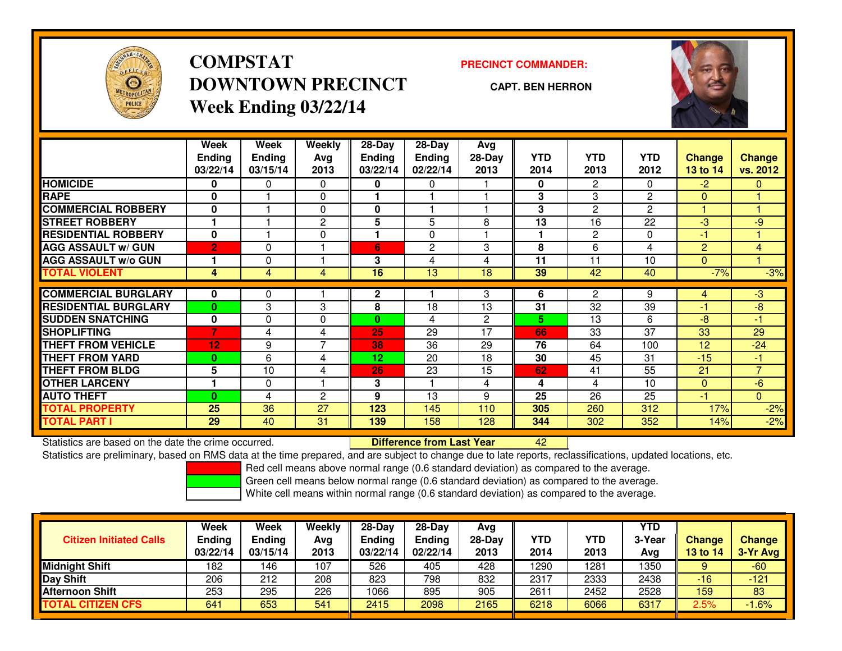

**COMPSTATDOWNTOWN PRECINCTWeek Ending 03/22/14**

### **PRECINCT COMMANDER:**

**CAPT. BEN HERRON**

<sup>42</sup>



|                             | Week<br><b>Ending</b><br>03/22/14 | Week<br><b>Ending</b><br>03/15/14 | Weekly<br>Ava<br>2013 | $28-Day$<br>Ending<br>03/22/14 | $28$ -Day<br><b>Ending</b><br>02/22/14 | Avg<br>$28-Day$<br>2013 | <b>YTD</b><br>2014 | <b>YTD</b><br>2013 | <b>YTD</b><br>2012 | <b>Change</b><br>13 to 14 | <b>Change</b><br>vs. 2012 |
|-----------------------------|-----------------------------------|-----------------------------------|-----------------------|--------------------------------|----------------------------------------|-------------------------|--------------------|--------------------|--------------------|---------------------------|---------------------------|
| <b>HOMICIDE</b>             | 0                                 | 0                                 | $\Omega$              | 0                              | 0                                      |                         | 0                  | $\overline{2}$     | 0                  | $-2$                      | 0                         |
| <b>RAPE</b>                 | $\bf{0}$                          |                                   | 0                     |                                |                                        |                         | 3                  | 3                  | $\overline{c}$     | $\Omega$                  |                           |
| <b>COMMERCIAL ROBBERY</b>   | $\bf{0}$                          |                                   | $\Omega$              | 0                              |                                        |                         | 3                  | $\overline{2}$     | $\overline{2}$     |                           |                           |
| <b>STREET ROBBERY</b>       |                                   |                                   | $\mathbf{2}$          | 5                              | 5                                      | 8                       | 13                 | 16                 | 22                 | $-3$                      | $-9$                      |
| <b>RESIDENTIAL ROBBERY</b>  | $\bf{0}$                          |                                   | $\Omega$              |                                | $\Omega$                               |                         |                    | 2                  | $\Omega$           | $-1$                      |                           |
| <b>AGG ASSAULT w/ GUN</b>   | $\overline{2}$                    | $\Omega$                          |                       | 6                              | 2                                      | 3                       | 8                  | 6                  | 4                  | $\overline{2}$            | 4                         |
| <b>AGG ASSAULT w/o GUN</b>  |                                   | $\Omega$                          |                       | 3                              | 4                                      | 4                       | 11                 | 11                 | 10                 | $\mathbf{0}$              |                           |
| <b>TOTAL VIOLENT</b>        | 4                                 | $\overline{4}$                    | 4                     | 16                             | 13                                     | 18                      | 39                 | 42                 | 40                 | $-7%$                     | $-3%$                     |
| <b>COMMERCIAL BURGLARY</b>  | 0                                 | 0                                 |                       | $\mathbf{2}$                   |                                        | 3                       | 6                  | 2                  | 9                  | 4                         | $-3$                      |
| <b>RESIDENTIAL BURGLARY</b> | $\bf{0}$                          | 3                                 | 3                     | 8                              | 18                                     | 13                      | 31                 | 32                 | 39                 | -1                        | -8                        |
| <b>SUDDEN SNATCHING</b>     | $\bf{0}$                          | $\Omega$                          | $\Omega$              | $\bf{0}$                       | 4                                      | 2                       | 5                  | 13                 | 6                  | $-8$                      | -1                        |
| <b>SHOPLIFTING</b>          | $\overline{7}$                    | 4                                 | 4                     | 25                             | 29                                     | 17                      | 66                 | 33                 | 37                 | 33                        | 29                        |
| <b>THEFT FROM VEHICLE</b>   | 12                                | 9                                 | 7                     | 38                             | 36                                     | 29                      | 76                 | 64                 | 100                | 12                        | $-24$                     |
| <b>THEFT FROM YARD</b>      | $\bf{0}$                          | 6                                 | 4                     | 12                             | 20                                     | 18                      | 30                 | 45                 | 31                 | $-15$                     | $\blacksquare$            |
| <b>THEFT FROM BLDG</b>      | 5                                 | 10                                | 4                     | 26                             | 23                                     | 15                      | 62                 | 41                 | 55                 | 21                        | $\overline{7}$            |
| <b>OTHER LARCENY</b>        |                                   | $\Omega$                          |                       | 3                              |                                        | 4                       | 4                  | 4                  | 10                 | $\mathbf{0}$              | $-6$                      |
| <b>AUTO THEFT</b>           | $\bf{0}$                          | 4                                 | 2                     | 9                              | 13                                     | 9                       | 25                 | 26                 | 25                 | $-1$                      | $\overline{0}$            |
| <b>TOTAL PROPERTY</b>       | 25                                | 36                                | 27                    | 123                            | 145                                    | 110                     | 305                | 260                | 312                | 17%                       | $-2%$                     |
| <b>TOTAL PART I</b>         | 29                                | 40                                | 31                    | 139                            | 158                                    | 128                     | 344                | 302                | 352                | 14%                       | $-2%$                     |

Statistics are based on the date the crime occurred. **Difference from Last Year** 

Statistics are preliminary, based on RMS data at the time prepared, and are subject to change due to late reports, reclassifications, updated locations, etc.

Red cell means above normal range (0.6 standard deviation) as compared to the average.

Green cell means below normal range (0.6 standard deviation) as compared to the average.

|                                | <b>Week</b>   | Week          | Weekly | $28-Day$      | 28-Dav        | Avg    |                  |            | <b>YTD</b> |                 |               |
|--------------------------------|---------------|---------------|--------|---------------|---------------|--------|------------------|------------|------------|-----------------|---------------|
| <b>Citizen Initiated Calls</b> | <b>Ending</b> | <b>Ending</b> | Avg    | <b>Ending</b> | <b>Ending</b> | 28-Dav | YTD              | <b>YTD</b> | 3-Year     | <b>Change</b>   | <b>Change</b> |
|                                | 03/22/14      | 03/15/14      | 2013   | 03/22/14      | 02/22/14      | 2013   | 2014             | 2013       | Avg        | <b>13 to 14</b> | 3-Yr Avg      |
| <b>Midnight Shift</b>          | 182           | 46ء           | 107    | 526           | 405           | 428    | 1290             | 281        | 1350       |                 | $-60$         |
| Day Shift                      | 206           | 212           | 208    | 823           | 798           | 832    | 2317             | 2333       | 2438       | -16             | $-121$        |
| <b>Afternoon Shift</b>         | 253           | 295           | 226    | 1066          | 895           | 905    | 261 <sup>.</sup> | 2452       | 2528       | 159             | 83            |
| <b>TOTAL CITIZEN CFS</b>       | 641           | 653           | 541    | 2415          | 2098          | 2165   | 6218             | 6066       | 6317       | 2.5%            | $1.6\%$       |
|                                |               |               |        |               |               |        |                  |            |            |                 |               |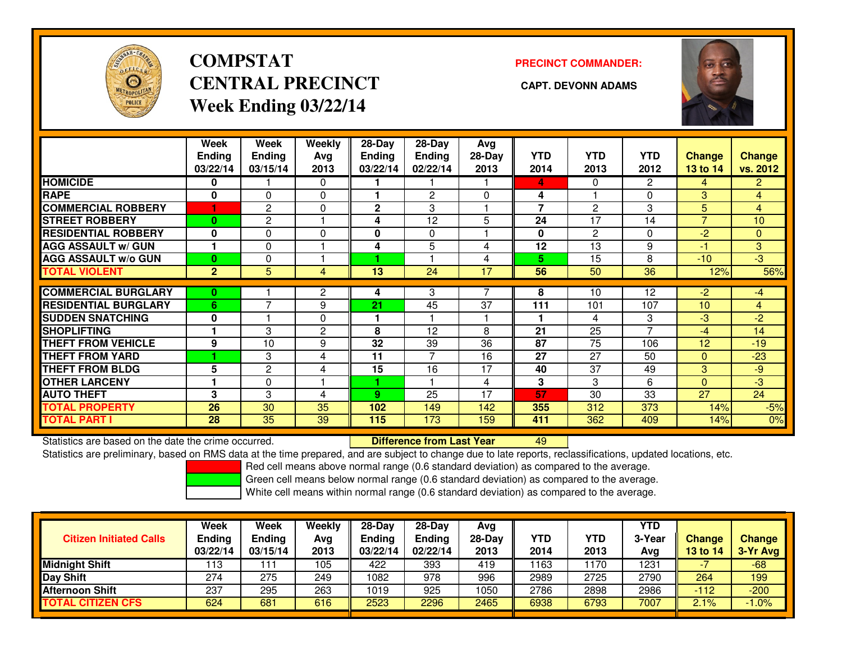

# **COMPSTATCENTRAL PRECINCT CAPT. DEVONN ADAMSWeek Ending 03/22/14**

### **PRECINCT COMMANDER:**



|                             | Week<br><b>Ending</b><br>03/22/14 | Week<br><b>Ending</b><br>03/15/14 | Weekly<br>Avg<br>2013 | $28$ -Day<br><b>Ending</b><br>03/22/14 | $28-Dav$<br><b>Ending</b><br>02/22/14 | Avg<br>$28-Day$<br>2013 | <b>YTD</b><br>2014 | <b>YTD</b><br>2013 | <b>YTD</b><br>2012 | <b>Change</b><br>13 to 14 | <b>Change</b><br>vs. 2012 |
|-----------------------------|-----------------------------------|-----------------------------------|-----------------------|----------------------------------------|---------------------------------------|-------------------------|--------------------|--------------------|--------------------|---------------------------|---------------------------|
| <b>HOMICIDE</b>             | 0                                 |                                   | 0                     |                                        |                                       |                         | 4                  | 0                  | 2                  | 4                         | $\overline{2}$            |
| <b>RAPE</b>                 | $\bf{0}$                          | $\Omega$                          | $\Omega$              |                                        | 2                                     | $\Omega$                | 4                  |                    | 0                  | 3                         | 4                         |
| <b>COMMERCIAL ROBBERY</b>   | 1                                 | 2                                 | 0                     | $\mathbf 2$                            | 3                                     |                         | $\overline{ }$     | 2                  | 3                  | 5                         | 4                         |
| <b>STREET ROBBERY</b>       | 0                                 | $\overline{c}$                    |                       | 4                                      | 12                                    | 5                       | 24                 | 17                 | 14                 | $\overline{7}$            | 10                        |
| <b>RESIDENTIAL ROBBERY</b>  | $\bf{0}$                          | $\Omega$                          | 0                     | 0                                      | $\Omega$                              |                         | 0                  | $\overline{c}$     | 0                  | -2                        | $\Omega$                  |
| <b>AGG ASSAULT w/ GUN</b>   |                                   | $\Omega$                          |                       | 4                                      | 5                                     | 4                       | 12                 | 13                 | 9                  | $-1$                      | 3                         |
| <b>AGG ASSAULT w/o GUN</b>  | $\bf{0}$                          | $\Omega$                          |                       |                                        |                                       | 4                       | 5.                 | 15                 | 8                  | $-10$                     | -3                        |
| <b>TOTAL VIOLENT</b>        | $\overline{2}$                    | 5                                 | 4                     | 13                                     | 24                                    | 17                      | 56                 | 50                 | 36                 | 12%                       | 56%                       |
|                             |                                   |                                   |                       |                                        |                                       |                         |                    |                    |                    |                           |                           |
| <b>COMMERCIAL BURGLARY</b>  | 0                                 |                                   | 2                     | 4                                      | 3                                     |                         | 8                  | 10                 | 12                 | $-2$                      | $-4$                      |
| <b>RESIDENTIAL BURGLARY</b> | 6                                 | $\overline{\phantom{a}}$          | 9                     | 21                                     | 45                                    | 37                      | 111                | 101                | 107                | 10                        | 4                         |
| <b>SUDDEN SNATCHING</b>     | 0                                 |                                   | $\Omega$              |                                        |                                       |                         |                    | 4                  | 3                  | -3                        | $-2$                      |
| <b>SHOPLIFTING</b>          |                                   | 3                                 | $\overline{2}$        | 8                                      | 12                                    | 8                       | 21                 | 25                 | 7                  | -4                        | 14                        |
| <b>THEFT FROM VEHICLE</b>   | 9                                 | 10                                | 9                     | 32                                     | 39                                    | 36                      | 87                 | 75                 | 106                | 12                        | $-19$                     |
| <b>THEFT FROM YARD</b>      |                                   | 3                                 | 4                     | 11                                     | 7                                     | 16                      | 27                 | 27                 | 50                 | $\Omega$                  | $-23$                     |
| <b>THEFT FROM BLDG</b>      | 5                                 | 2                                 | 4                     | 15                                     | 16                                    | 17                      | 40                 | 37                 | 49                 | 3                         | $-9$                      |
| <b>OTHER LARCENY</b>        |                                   | $\Omega$                          |                       |                                        |                                       | 4                       | 3                  | 3                  | 6                  | $\mathbf{0}$              | $-3$                      |
| <b>AUTO THEFT</b>           | 3                                 | 3                                 | 4                     | 9                                      | 25                                    | 17                      | 57                 | 30                 | 33                 | 27                        | 24                        |
| TOTAL PROPERTY              | 26                                | 30                                | 35                    | 102                                    | 149                                   | 142                     | 355                | 312                | 373                | 14%                       | $-5%$                     |
| <b>TOTAL PART I</b>         | 28                                | 35                                | 39                    | 115                                    | 173                                   | 159                     | 411                | 362                | 409                | 14%                       | 0%                        |

Statistics are based on the date the crime occurred. **Difference from Last Year** 

Statistics are based on the date the crime occurred. **Externee the Luid Confference from Last Year Mated Action**<br>Statistics are preliminary, based on RMS data at the time prepared, and are subject to change due to late rep

Red cell means above normal range (0.6 standard deviation) as compared to the average.

Green cell means below normal range (0.6 standard deviation) as compared to the average.

| <b>Citizen Initiated Calls</b> | <b>Week</b><br><b>Ending</b><br>03/22/14 | Week<br>Ending<br>03/15/14 | Weekly<br>Avg<br>2013 | $28-Day$<br><b>Ending</b><br>03/22/14 | $28-Dav$<br>Ending<br>02/22/14 | Avg<br>$28-Day$<br>2013 | YTD<br>2014 | <b>YTD</b><br>2013 | YTD<br>3-Year<br>Avg | <b>Change</b><br>13 to 14 | <b>Change</b><br>3-Yr Avg |
|--------------------------------|------------------------------------------|----------------------------|-----------------------|---------------------------------------|--------------------------------|-------------------------|-------------|--------------------|----------------------|---------------------------|---------------------------|
| <b>Midnight Shift</b>          | 113                                      |                            | 105                   | 422                                   | 393                            | 419                     | 1163        | 170                | 1231                 |                           | $-68$                     |
| <b>IDay Shift</b>              | 274                                      | 275                        | 249                   | 1082                                  | 978                            | 996                     | 2989        | 2725               | 2790                 | 264                       | 199                       |
| Afternoon Shift                | 237                                      | 295                        | 263                   | 1019                                  | 925                            | 1050                    | 2786        | 2898               | 2986                 | $-112$                    | $-200$                    |
| <b>TOTAL CITIZEN CFS</b>       | 624                                      | 681                        | 616                   | 2523                                  | 2296                           | 2465                    | 6938        | 6793               | 7007                 | 2.1%                      | $.0\%$                    |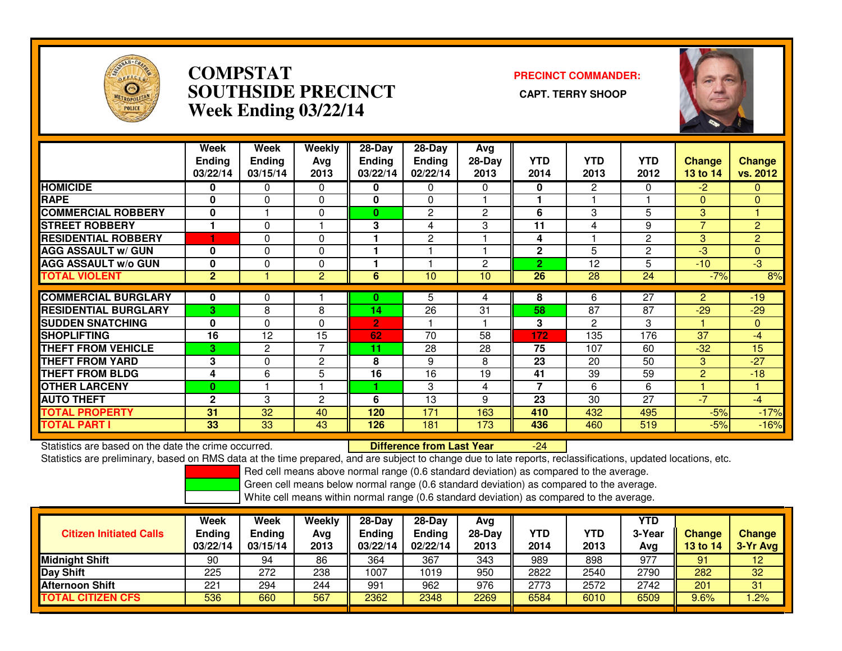

## **COMPSTAT PRECINCT COMMANDER: SOUTHSIDE PRECINCT CAPT. TERRY SHOOPWeek Ending 03/22/14**



|                             | Week<br><b>Ending</b><br>03/22/14 | Week<br><b>Ending</b><br>03/15/14 | Weekly<br>Avg<br>2013 | $28-Day$<br><b>Ending</b><br>03/22/14 | $28$ -Day<br><b>Ending</b><br>02/22/14 | Avg<br>28-Day<br>2013 | <b>YTD</b><br>2014 | <b>YTD</b><br>2013 | <b>YTD</b><br>2012 | <b>Change</b><br>13 to 14 | Change<br>vs. 2012 |
|-----------------------------|-----------------------------------|-----------------------------------|-----------------------|---------------------------------------|----------------------------------------|-----------------------|--------------------|--------------------|--------------------|---------------------------|--------------------|
| <b>HOMICIDE</b>             | 0                                 | 0                                 | $\Omega$              | 0                                     | $\Omega$                               | 0                     | $\mathbf{0}$       | $\overline{2}$     | 0                  | $-2$                      | 0                  |
| <b>RAPE</b>                 | 0                                 | 0                                 | $\mathbf 0$           | 0                                     | $\Omega$                               |                       |                    |                    |                    | $\Omega$                  | $\Omega$           |
| <b>COMMERCIAL ROBBERY</b>   | 0                                 |                                   | $\mathbf 0$           | $\bf{0}$                              | $\overline{2}$                         | $\overline{2}$        | 6                  | 3                  | 5                  | 3                         |                    |
| <b>STREET ROBBERY</b>       | 1                                 | 0                                 |                       | 3                                     | 4                                      | 3                     | 11                 | 4                  | 9                  | $\overline{7}$            | $\overline{2}$     |
| <b>RESIDENTIAL ROBBERY</b>  |                                   | 0                                 | $\Omega$              |                                       | $\overline{2}$                         |                       | 4                  |                    | $\overline{2}$     | 3                         | $\overline{2}$     |
| <b>AGG ASSAULT W/ GUN</b>   | 0                                 | 0                                 | $\mathbf 0$           |                                       |                                        |                       | $\mathbf 2$        | 5                  | 2                  | $-3$                      | $\mathbf{0}$       |
| <b>AGG ASSAULT w/o GUN</b>  | 0                                 | 0                                 | 0                     |                                       |                                        | $\overline{c}$        | $\overline{2}$     | 12                 | 5                  | $-10$                     | $\overline{3}$     |
| <b>TOTAL VIOLENT</b>        | $\mathbf{2}$                      |                                   | 2                     | 6                                     | 10                                     | 10 <sup>°</sup>       | 26                 | 28                 | 24                 | $-7%$                     | 8%                 |
|                             |                                   |                                   |                       |                                       |                                        |                       |                    |                    |                    |                           |                    |
| <b>COMMERCIAL BURGLARY</b>  | $\mathbf 0$                       | 0                                 |                       | 0                                     | 5                                      | 4                     | 8                  | 6                  | $\overline{27}$    | $\overline{2}$            | $-19$              |
| <b>RESIDENTIAL BURGLARY</b> | 3                                 | 8                                 | 8                     | 14                                    | 26                                     | 31                    | 58                 | 87                 | 87                 | $-29$                     | $-29$              |
| <b>SUDDEN SNATCHING</b>     | 0                                 | 0                                 | $\mathbf 0$           | $\overline{2}$                        |                                        |                       | 3                  | 2                  | 3                  |                           | $\mathbf{0}$       |
| <b>SHOPLIFTING</b>          | 16                                | 12                                | 15                    | 62                                    | 70                                     | 58                    | 172                | 135                | 176                | 37                        | $-4$               |
| <b>THEFT FROM VEHICLE</b>   | 3                                 | 2                                 | $\overline{7}$        | 11                                    | 28                                     | 28                    | 75                 | 107                | 60                 | $-32$                     | 15                 |
| <b>THEFT FROM YARD</b>      | 3                                 | 0                                 | $\mathbf{2}$          | 8                                     | 9                                      | 8                     | 23                 | 20                 | 50                 | 3                         | $-27$              |
| <b>THEFT FROM BLDG</b>      | 4                                 | 6                                 | 5                     | 16                                    | 16                                     | 19                    | 41                 | 39                 | 59                 | 2                         | $-18$              |
| <b>OTHER LARCENY</b>        | $\bf{0}$                          |                                   |                       |                                       | 3                                      | 4                     | $\overline{7}$     | 6                  | 6                  |                           | 1                  |
| <b>AUTO THEFT</b>           | $\overline{2}$                    | 3                                 | $\overline{2}$        | 6                                     | 13                                     | 9                     | 23                 | 30                 | 27                 | $-7$                      | $-4$               |
| <b>TOTAL PROPERTY</b>       | 31                                | 32                                | 40                    | 120                                   | 171                                    | 163                   | 410                | 432                | 495                | $-5%$                     | $-17%$             |
| <b>TOTAL PART I</b>         | 33                                | 33                                | 43                    | 126                                   | 181                                    | 173                   | 436                | 460                | 519                | $-5%$                     | $-16%$             |

Statistics are based on the date the crime occurred. **Difference from Last Year** 

Statistics are based on the date the crime occurred. **Externee the Difference from Last Year Theoren 1998** --24<br>Statistics are preliminary, based on RMS data at the time prepared, and are subject to change due to late repo

Red cell means above normal range (0.6 standard deviation) as compared to the average.

Green cell means below normal range (0.6 standard deviation) as compared to the average.

| <b>Citizen Initiated Calls</b> | Week<br>Ending<br>03/22/14 | Week<br>Ending<br>03/15/14 | Weekly<br>Avg<br>2013 | $28-Day$<br><b>Ending</b><br>03/22/14 | $28-Day$<br><b>Ending</b><br>02/22/14 | Avg<br>$28-Day$<br>2013 | YTD<br>2014 | YTD<br>2013 | <b>YTD</b><br>3-Year<br>Avg | <b>Change</b><br>13 to 14 | <b>Change</b><br>3-Yr Avg |
|--------------------------------|----------------------------|----------------------------|-----------------------|---------------------------------------|---------------------------------------|-------------------------|-------------|-------------|-----------------------------|---------------------------|---------------------------|
| <b>Midnight Shift</b>          | 90                         | 94                         | 86                    | 364                                   | 367                                   | 343                     | 989         | 898         | 977                         | 91                        | 12 <sub>2</sub>           |
| Day Shift                      | 225                        | 272                        | 238                   | 1007                                  | 1019                                  | 950                     | 2822        | 2540        | 2790                        | 282                       | 32                        |
| <b>Afternoon Shift</b>         | 221                        | 294                        | 244                   | 991                                   | 962                                   | 976                     | 2773        | 2572        | 2742                        | 201                       | 31                        |
| <b>TOTAL CITIZEN CFS</b>       | 536                        | 660                        | 567                   | 2362                                  | 2348                                  | 2269                    | 6584        | 6010        | 6509                        | 9.6%                      | .2%                       |